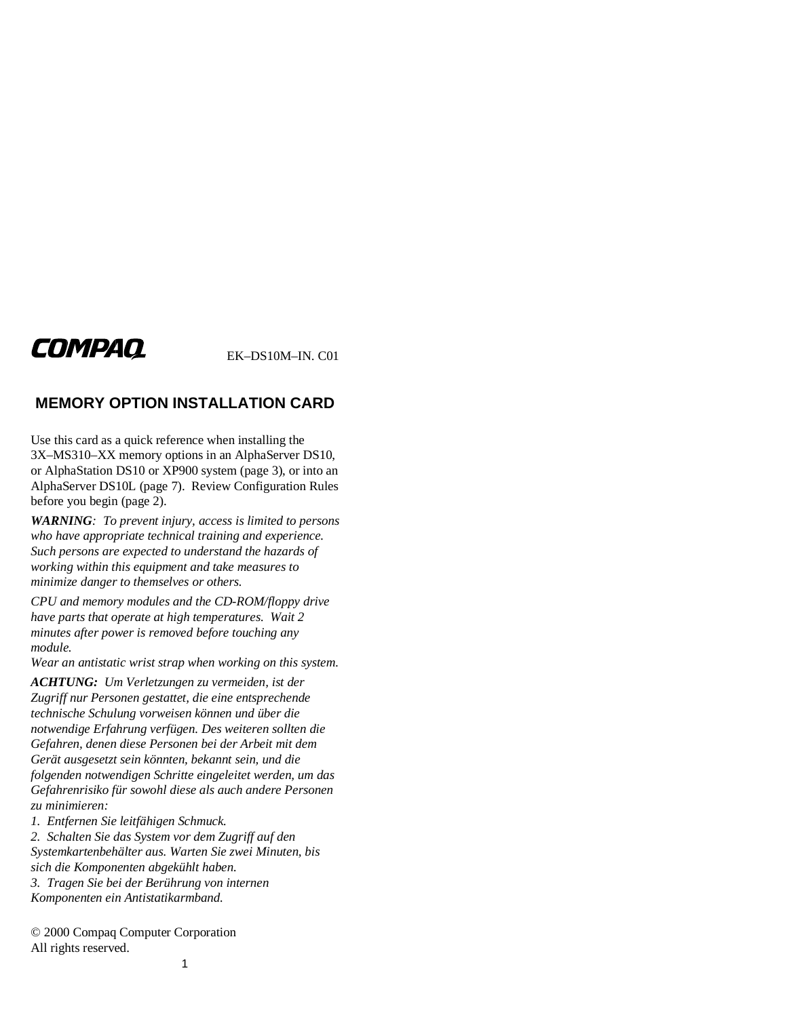# COMPAQ

EK–DS10M–IN. C01

# **MEMORY OPTION INSTALLATION CARD**

Use this card as a quick reference when installing the 3X–MS310–XX memory options in an AlphaServer DS10, or AlphaStation DS10 or XP900 system (page 3), or into an AlphaServer DS10L (page 7). Review Configuration Rules before you begin (page 2).

*WARNING: To prevent injury, access is limited to persons who have appropriate technical training and experience. Such persons are expected to understand the hazards of working within this equipment and take measures to minimize danger to themselves or others.*

*CPU and memory modules and the CD-ROM/floppy drive have parts that operate at high temperatures. Wait 2 minutes after power is removed before touching any module.*

*Wear an antistatic wrist strap when working on this system.*

*ACHTUNG: Um Verletzungen zu vermeiden, ist der Zugriff nur Personen gestattet, die eine entsprechende technische Schulung vorweisen können und über die notwendige Erfahrung verfügen. Des weiteren sollten die Gefahren, denen diese Personen bei der Arbeit mit dem Gerät ausgesetzt sein könnten, bekannt sein, und die folgenden notwendigen Schritte eingeleitet werden, um das Gefahrenrisiko für sowohl diese als auch andere Personen zu minimieren:*

*1. Entfernen Sie leitfähigen Schmuck.*

*2. Schalten Sie das System vor dem Zugriff auf den Systemkartenbehälter aus. Warten Sie zwei Minuten, bis sich die Komponenten abgekühlt haben. 3. Tragen Sie bei der Berührung von internen*

*Komponenten ein Antistatikarmband.*

© 2000 Compaq Computer Corporation All rights reserved.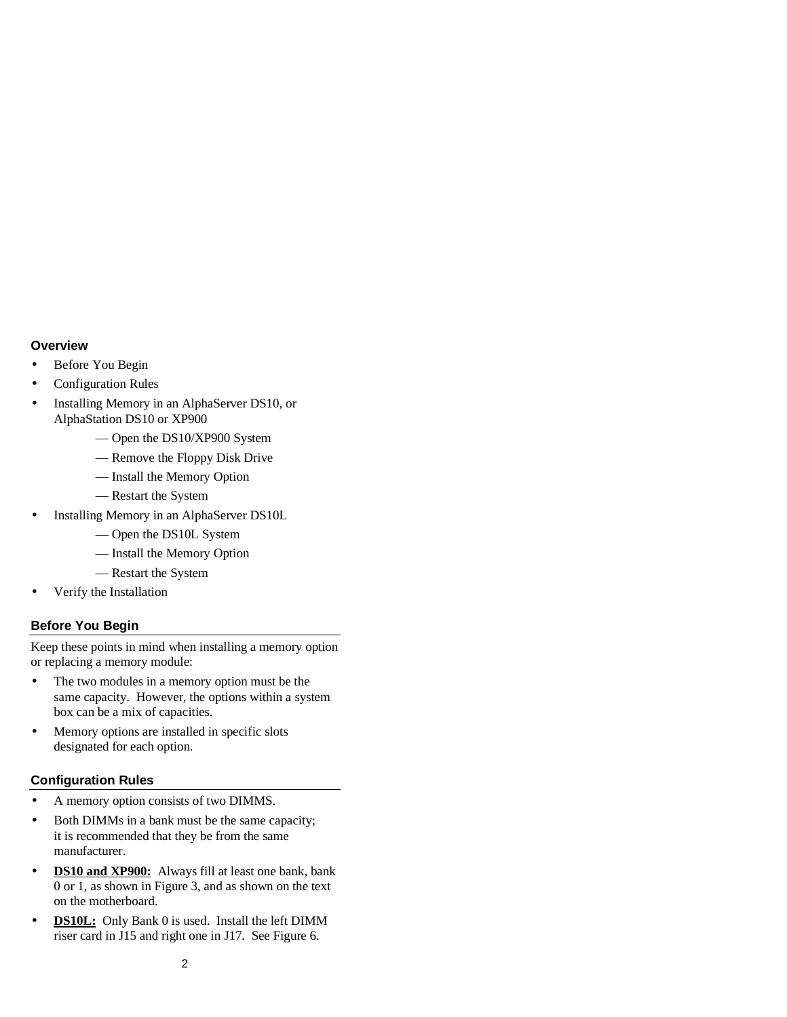#### **Overview**

- Before You Begin
- Configuration Rules
- Installing Memory in an AlphaServer DS10, or AlphaStation DS10 or XP900
	- Open the DS10/XP900 System
	- Remove the Floppy Disk Drive
	- Install the Memory Option
	- Restart the System
- Installing Memory in an AlphaServer DS10L
	- Open the DS10L System
	- Install the Memory Option
	- Restart the System
- Verify the Installation

#### **Before You Begin**

Keep these points in mind when installing a memory option or replacing a memory module:

- The two modules in a memory option must be the same capacity. However, the options within a system box can be a mix of capacities.
- Memory options are installed in specific slots designated for each option.

#### **Configuration Rules**

- A memory option consists of two DIMMS.
- Both DIMMs in a bank must be the same capacity; it is recommended that they be from the same manufacturer.
- **DS10 and XP900:** Always fill at least one bank, bank 0 or 1, as shown in Figure 3, and as shown on the text on the motherboard.
- **DS10L:** Only Bank 0 is used. Install the left DIMM riser card in J15 and right one in J17. See Figure 6.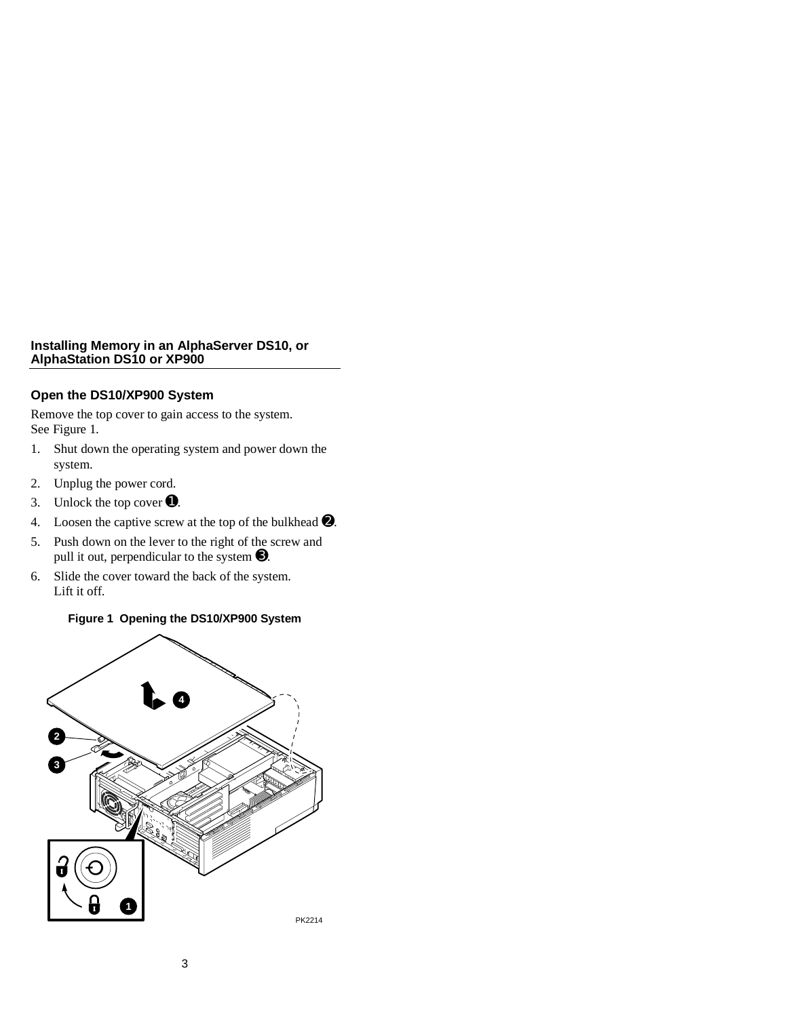#### **Installing Memory in an AlphaServer DS10, or AlphaStation DS10 or XP900**

## **Open the DS10/XP900 System**

Remove the top cover to gain access to the system. See Figure 1.

- 1. Shut down the operating system and power down the system.
- 2. Unplug the power cord.
- 3. Unlock the top cover  $\bullet$ .
- 4. Loosen the captive screw at the top of the bulkhead  $\bullet$ .
- 5. Push down on the lever to the right of the screw and pull it out, perpendicular to the system ➌.
- 6. Slide the cover toward the back of the system. Lift it off.

## **Figure 1 Opening the DS10/XP900 System**

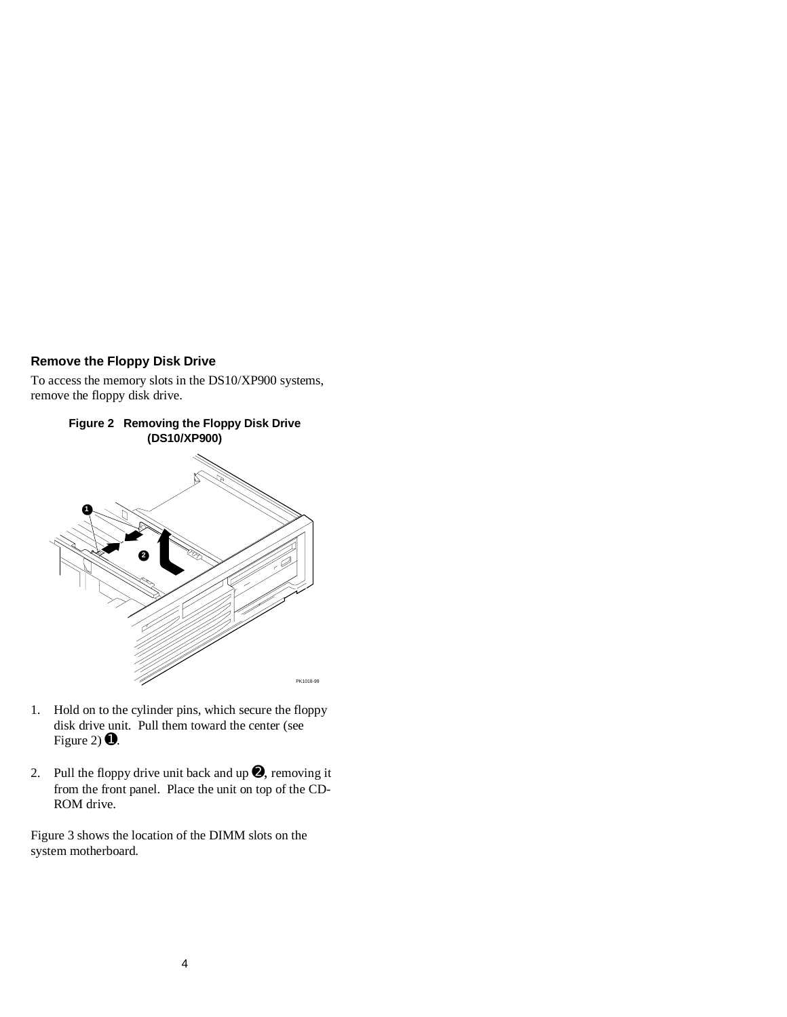# **Remove the Floppy Disk Drive**

To access the memory slots in the DS10/XP900 systems, remove the floppy disk drive.



- 1. Hold on to the cylinder pins, which secure the floppy disk drive unit. Pull them toward the center (see Figure 2)  $\bullet$ .
- 2. Pull the floppy drive unit back and up  $\bullet$ , removing it from the front panel. Place the unit on top of the CD-ROM drive.

Figure 3 shows the location of the DIMM slots on the system motherboard.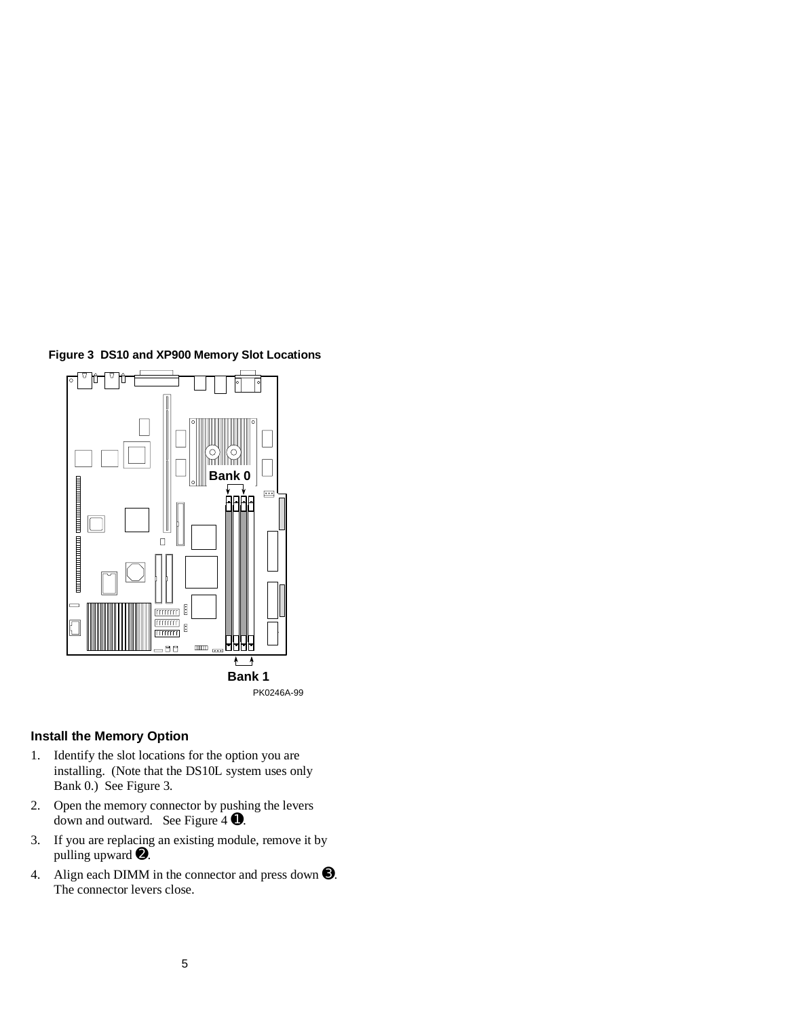



#### **Install the Memory Option**

- 1. Identify the slot locations for the option you are installing. (Note that the DS10L system uses only Bank 0.) See Figure 3.
- 2. Open the memory connector by pushing the levers down and outward. See Figure 4 ➊.
- 3. If you are replacing an existing module, remove it by pulling upward ➋.
- 4. Align each DIMM in the connector and press down ➌. The connector levers close.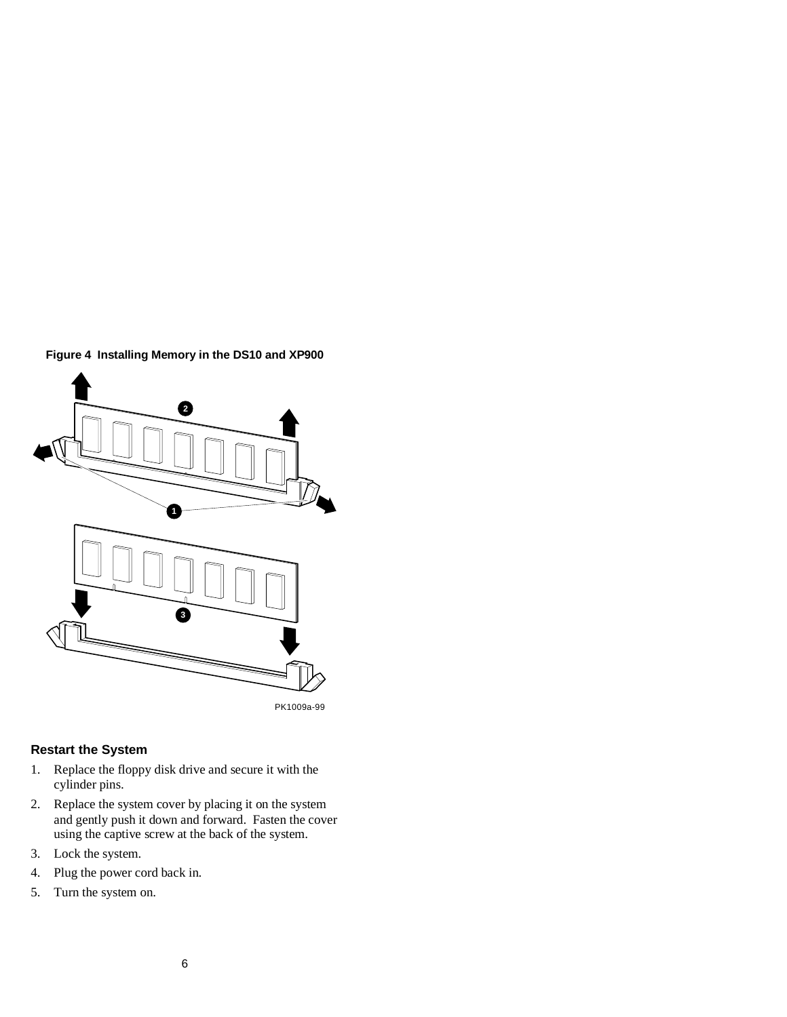

# **Figure 4 Installing Memory in the DS10 and XP900**

PK1009a-99

# **Restart the System**

- 1. Replace the floppy disk drive and secure it with the cylinder pins.
- 2. Replace the system cover by placing it on the system and gently push it down and forward. Fasten the cover using the captive screw at the back of the system.
- 3. Lock the system.
- 4. Plug the power cord back in.
- 5. Turn the system on.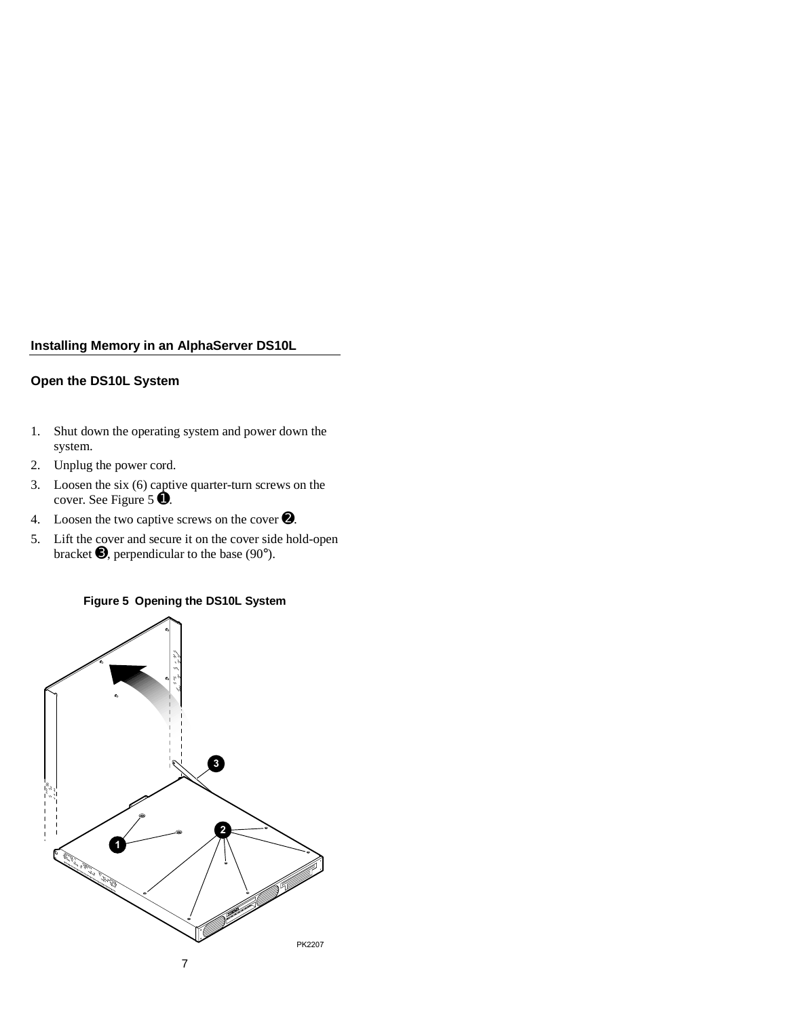# **Installing Memory in an AlphaServer DS10L**

## **Open the DS10L System**

- 1. Shut down the operating system and power down the system.
- 2. Unplug the power cord.
- 3. Loosen the six (6) captive quarter-turn screws on the cover. See Figure 5 ➊.
- 4. Loosen the two captive screws on the cover  $\bullet$ .
- 5. Lift the cover and secure it on the cover side hold-open bracket  $\Theta$ , perpendicular to the base (90°).

## **Figure 5 Opening the DS10L System**

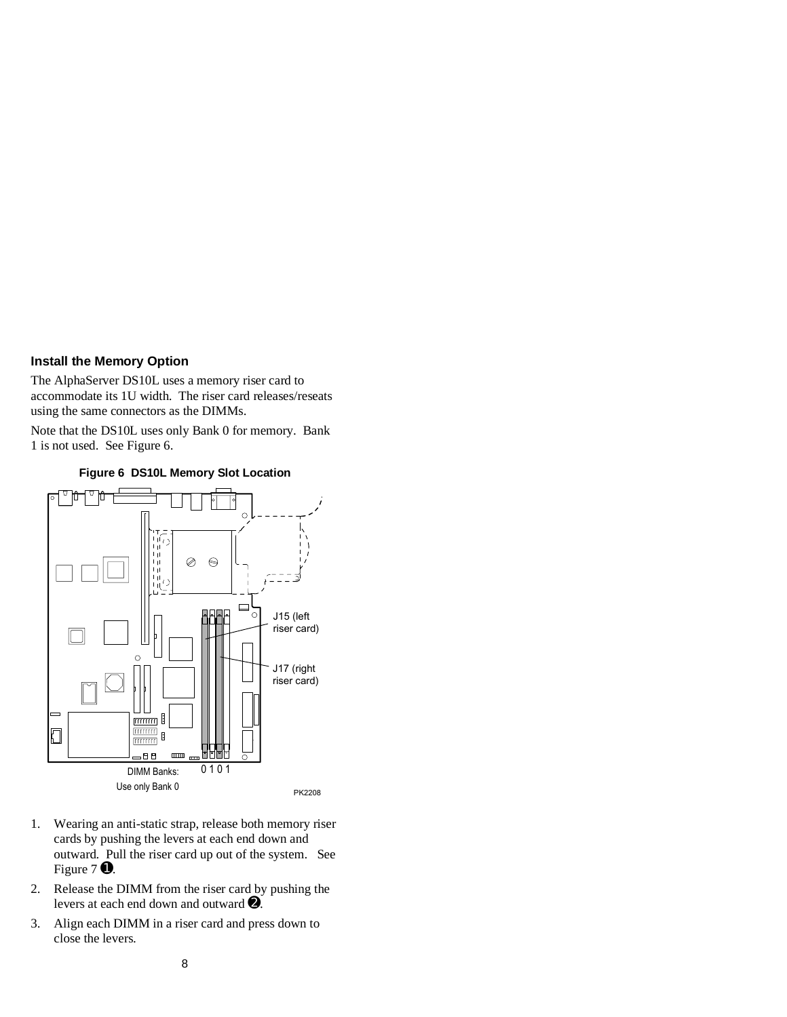#### **Install the Memory Option**

The AlphaServer DS10L uses a memory riser card to accommodate its 1U width. The riser card releases/reseats using the same connectors as the DIMMs.

Note that the DS10L uses only Bank 0 for memory. Bank 1 is not used. See Figure 6.



**Figure 6 DS10L Memory Slot Location**

- 1. Wearing an anti-static strap, release both memory riser cards by pushing the levers at each end down and outward. Pull the riser card up out of the system. See Figure 7  $\bullet$ .
- 2. Release the DIMM from the riser card by pushing the levers at each end down and outward ➋.
- 3. Align each DIMM in a riser card and press down to close the levers.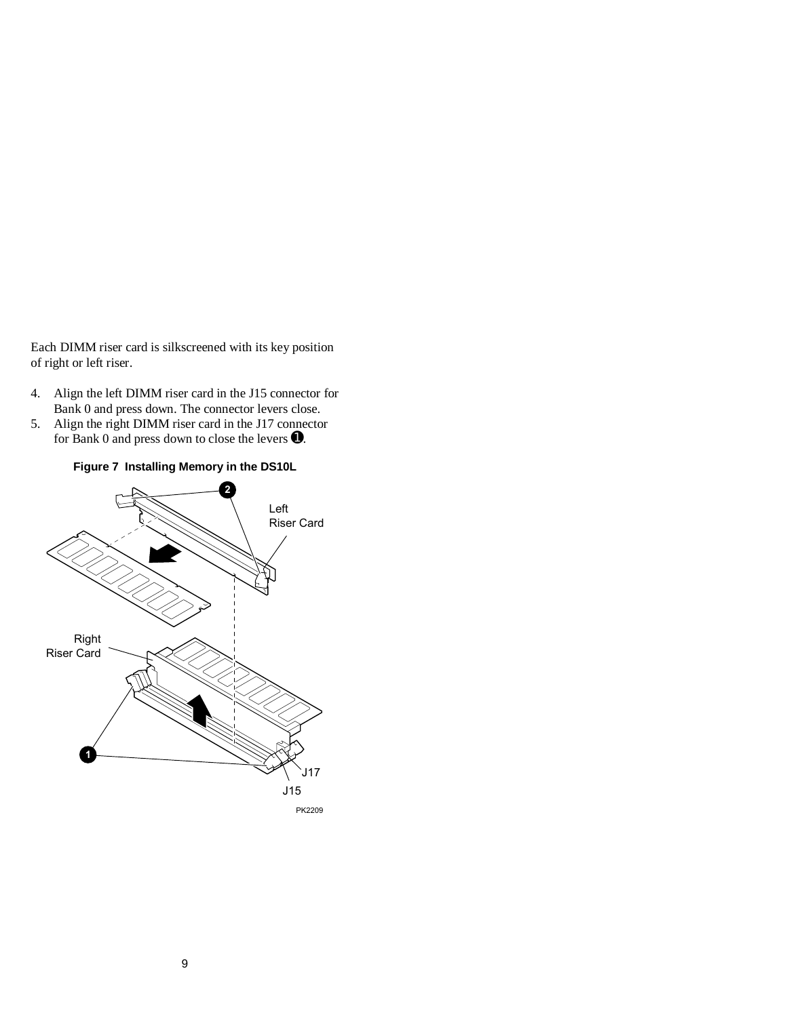Each DIMM riser card is silkscreened with its key position of right or left riser.

- 4. Align the left DIMM riser card in the J15 connector for Bank 0 and press down. The connector levers close.
- 5. Align the right DIMM riser card in the J17 connector for Bank 0 and press down to close the levers  $\bullet$ .